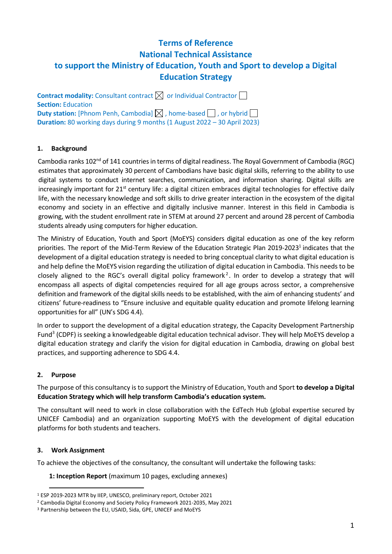# **Terms of Reference National Technical Assistance to support the Ministry of Education, Youth and Sport to develop a Digital Education Strategy**

**Contract modality:** Consultant contract  $\boxtimes$  or Individual Contractor  $\Box$ **Section:** Education **Duty station:** [Phnom Penh, Cambodia]  $\boxtimes$  , home-based  $\Box$  , or hybrid  $\Box$ **Duration:** 80 working days during 9 months (1 August 2022 – 30 April 2023)

#### **1. Background**

Cambodia ranks 102<sup>nd</sup> of 141 countries in terms of digital readiness. The Royal Government of Cambodia (RGC) estimates that approximately 30 percent of Cambodians have basic digital skills, referring to the ability to use digital systems to conduct internet searches, communication, and information sharing. Digital skills are increasingly important for  $21<sup>st</sup>$  century life: a digital citizen embraces digital technologies for effective daily life, with the necessary knowledge and soft skills to drive greater interaction in the ecosystem of the digital economy and society in an effective and digitally inclusive manner. Interest in this field in Cambodia is growing, with the student enrollment rate in STEM at around 27 percent and around 28 percent of Cambodia students already using computers for higher education.

The Ministry of Education, Youth and Sport (MoEYS) considers digital education as one of the key reform priorities. The report of the Mid-Term Review of the Education Strategic Plan 2019-2023<sup>1</sup> indicates that the development of a digital education strategy is needed to bring conceptual clarity to what digital education is and help define the MoEYS vision regarding the utilization of digital education in Cambodia. This needs to be closely aligned to the RGC's overall digital policy framework<sup>2</sup>. In order to develop a strategy that will encompass all aspects of digital competencies required for all age groups across sector, a comprehensive definition and framework of the digital skills needs to be established, with the aim of enhancing students' and citizens' future-readiness to "Ensure inclusive and equitable quality education and promote lifelong learning opportunities for all" (UN's SDG 4.4).

In order to support the development of a digital education strategy, the Capacity Development Partnership Fund<sup>3</sup> (CDPF) is seeking a knowledgeable digital education technical advisor. They will help MoEYS develop a digital education strategy and clarify the vision for digital education in Cambodia, drawing on global best practices, and supporting adherence to SDG 4.4.

# **2. Purpose**

The purpose of this consultancy is to support the Ministry of Education, Youth and Sport **to develop a Digital Education Strategy which will help transform Cambodia's education system.**

The consultant will need to work in close collaboration with the EdTech Hub (global expertise secured by UNICEF Cambodia) and an organization supporting MoEYS with the development of digital education platforms for both students and teachers.

#### **3. Work Assignment**

To achieve the objectives of the consultancy, the consultant will undertake the following tasks:

**1: Inception Report** (maximum 10 pages, excluding annexes)

<sup>1</sup> ESP 2019-2023 MTR by IIEP, UNESCO, preliminary report, October 2021

<sup>2</sup> Cambodia Digital Economy and Society Policy Framework 2021-2035, May 2021

<sup>3</sup> Partnership between the EU, USAID, Sida, GPE, UNICEF and MoEYS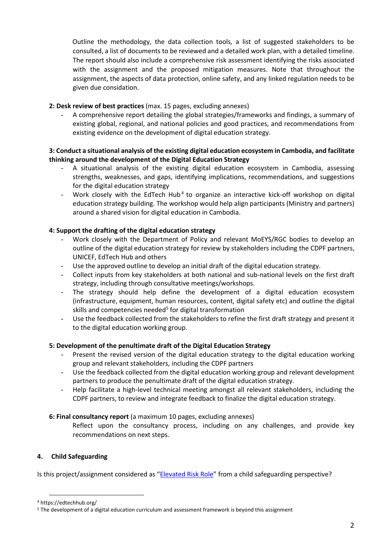Outline the methodology, the data collection tools, a list of suggested stakeholders to be consulted, a list of documents to be reviewed and a detailed work plan, with a detailed timeline. The report should also include a comprehensive risk assessment identifying the risks associated with the assignment and the proposed mitigation measures. Note that throughout the assignment, the aspects of data protection, online safety, and any linked regulation needs to be given due considation.

# **2: Desk review of best practices** (max. 15 pages, excluding annexes)

A comprehensive report detailing the global strategies/frameworks and findings, a summary of existing global, regional, and national policies and good practices, and recommendations from existing evidence on the development of digital education strategy.

# **3: Conduct a situational analysis of the existing digital education ecosystem in Cambodia, and facilitate thinking around the development of the Digital Education Strategy**

- A situational analysis of the existing digital education ecosystem in Cambodia, assessing strengths, weaknesses, and gaps, identifying implications, recommendations, and suggestions for the digital education strategy
- Work closely with the EdTech Hub<sup>4</sup> to organize an interactive kick-off workshop on digital education strategy building. The workshop would help align participants (Ministry and partners) around a shared vision for digital education in Cambodia.

# **4: Support the drafting of the digital education strategy**

- Work closely with the Department of Policy and relevant MoEYS/RGC bodies to develop an outline of the digital education strategy for review by stakeholders including the CDPF partners, UNICEF, EdTech Hub and others
- Use the approved outline to develop an initial draft of the digital education strategy.
- Collect inputs from key stakeholders at both national and sub-national levels on the first draft strategy, including through consultative meetings/workshops.
- The strategy should help define the development of a digital education ecosystem (infrastructure, equipment, human resources, content, digital safety etc) and outline the digital skills and competencies needed<sup>5</sup> for digital transformation
- Use the feedback collected from the stakeholders to refine the first draft strategy and present it to the digital education working group.

# **5: Development of the penultimate draft of the Digital Education Strategy**

- Present the revised version of the digital education strategy to the digital education working group and relevant stakeholders, including the CDPF partners
- Use the feedback collected from the digital education working group and relevant development partners to produce the penultimate draft of the digital education strategy.
- Help facilitate a high-level technical meeting amongst all relevant stakeholders, including the CDPF partners, to review and integrate feedback to finalize the digital education strategy.

# **6: Final consultancy report** (a maximum 10 pages, excluding annexes)

Reflect upon the consultancy process, including on any challenges, and provide key recommendations on next steps.

# **4. Child Safeguarding**

Is this project/assignment considered as "[Elevated Risk Role](https://unicef.sharepoint.com/sites/DHR-ChildSafeguarding/DocumentLibrary1/Guidance%20on%20Identifying%20Elevated%20Risk%20Roles_finalversion.pdf?CT=1590792470221&OR=ItemsView)" from a child safeguarding perspective?

<sup>4</sup> https://edtechhub.org/

<sup>5</sup> The development of a digital education curriculum and assessment framework is beyond this assignment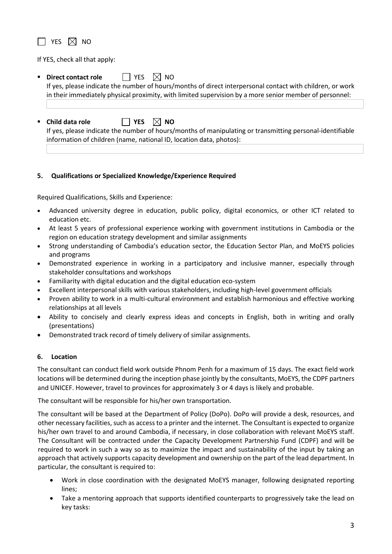$\Box$  YES  $\boxtimes$  NO

If YES, check all that apply:

- **Direct contact role** A YES  $\boxtimes$  NO If yes, please indicate the number of hours/months of direct interpersonal contact with children, or work in their immediately physical proximity, with limited supervision by a more senior member of personnel:
- **Child data role YES NO**

If yes, please indicate the number of hours/months of manipulating or transmitting personal-identifiable information of children (name, national ID, location data, photos):

# **5. Qualifications or Specialized Knowledge/Experience Required**

Required Qualifications, Skills and Experience:

- Advanced university degree in education, public policy, digital economics, or other ICT related to education etc.
- At least 5 years of professional experience working with government institutions in Cambodia or the region on education strategy development and similar assignments
- Strong understanding of Cambodia's education sector, the Education Sector Plan, and MoEYS policies and programs
- Demonstrated experience in working in a participatory and inclusive manner, especially through stakeholder consultations and workshops
- Familiarity with digital education and the digital education eco-system
- Excellent interpersonal skills with various stakeholders, including high-level government officials
- Proven ability to work in a multi-cultural environment and establish harmonious and effective working relationships at all levels
- Ability to concisely and clearly express ideas and concepts in English, both in writing and orally (presentations)
- Demonstrated track record of timely delivery of similar assignments.

#### **6. Location**

The consultant can conduct field work outside Phnom Penh for a maximum of 15 days. The exact field work locations will be determined during the inception phase jointly by the consultants, MoEYS, the CDPF partners and UNICEF. However, travel to provinces for approximately 3 or 4 days is likely and probable.

The consultant will be responsible for his/her own transportation.

The consultant will be based at the Department of Policy (DoPo). DoPo will provide a desk, resources, and other necessary facilities, such as access to a printer and the internet. The Consultant is expected to organize his/her own travel to and around Cambodia, if necessary, in close collaboration with relevant MoEYS staff. The Consultant will be contracted under the Capacity Development Partnership Fund (CDPF) and will be required to work in such a way so as to maximize the impact and sustainability of the input by taking an approach that actively supports capacity development and ownership on the part of the lead department. In particular, the consultant is required to:

- Work in close coordination with the designated MoEYS manager, following designated reporting lines;
- Take a mentoring approach that supports identified counterparts to progressively take the lead on key tasks: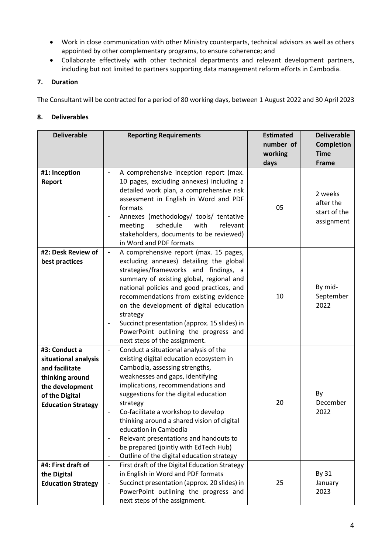- Work in close communication with other Ministry counterparts, technical advisors as well as others appointed by other complementary programs, to ensure coherence; and
- Collaborate effectively with other technical departments and relevant development partners, including but not limited to partners supporting data management reform efforts in Cambodia.

# **7. Duration**

The Consultant will be contracted for a period of 80 working days, between 1 August 2022 and 30 April 2023

# **8. Deliverables**

| <b>Deliverable</b>                                                                                                                           | <b>Reporting Requirements</b>                                                                                                                                                                                                                                                                                                                                                                                                                                                                                                                                            | <b>Estimated</b><br>number of<br>working | <b>Deliverable</b><br>Completion<br><b>Time</b>    |
|----------------------------------------------------------------------------------------------------------------------------------------------|--------------------------------------------------------------------------------------------------------------------------------------------------------------------------------------------------------------------------------------------------------------------------------------------------------------------------------------------------------------------------------------------------------------------------------------------------------------------------------------------------------------------------------------------------------------------------|------------------------------------------|----------------------------------------------------|
| #1: Inception                                                                                                                                | A comprehensive inception report (max.                                                                                                                                                                                                                                                                                                                                                                                                                                                                                                                                   | days                                     | Frame                                              |
| Report                                                                                                                                       | 10 pages, excluding annexes) including a<br>detailed work plan, a comprehensive risk<br>assessment in English in Word and PDF<br>formats<br>Annexes (methodology/ tools/ tentative<br>schedule<br>with<br>relevant<br>meeting<br>stakeholders, documents to be reviewed)<br>in Word and PDF formats                                                                                                                                                                                                                                                                      | 05                                       | 2 weeks<br>after the<br>start of the<br>assignment |
| #2: Desk Review of<br>best practices                                                                                                         | A comprehensive report (max. 15 pages,<br>$\overline{\phantom{a}}$<br>excluding annexes) detailing the global<br>strategies/frameworks and findings, a<br>summary of existing global, regional and<br>national policies and good practices, and<br>recommendations from existing evidence<br>on the development of digital education<br>strategy<br>Succinct presentation (approx. 15 slides) in<br>PowerPoint outlining the progress and<br>next steps of the assignment.                                                                                               | 10                                       | By mid-<br>September<br>2022                       |
| #3: Conduct a<br>situational analysis<br>and facilitate<br>thinking around<br>the development<br>of the Digital<br><b>Education Strategy</b> | Conduct a situational analysis of the<br>$\overline{\phantom{a}}$<br>existing digital education ecosystem in<br>Cambodia, assessing strengths,<br>weaknesses and gaps, identifying<br>implications, recommendations and<br>suggestions for the digital education<br>strategy<br>Co-facilitate a workshop to develop<br>thinking around a shared vision of digital<br>education in Cambodia<br>Relevant presentations and handouts to<br>$\overline{a}$<br>be prepared (jointly with EdTech Hub)<br>Outline of the digital education strategy<br>$\overline{\phantom{a}}$ | 20                                       | By<br>December<br>2022                             |
| #4: First draft of<br>the Digital<br><b>Education Strategy</b>                                                                               | First draft of the Digital Education Strategy<br>$\overline{\phantom{a}}$<br>in English in Word and PDF formats<br>Succinct presentation (approx. 20 slides) in<br>PowerPoint outlining the progress and<br>next steps of the assignment.                                                                                                                                                                                                                                                                                                                                | 25                                       | By 31<br>January<br>2023                           |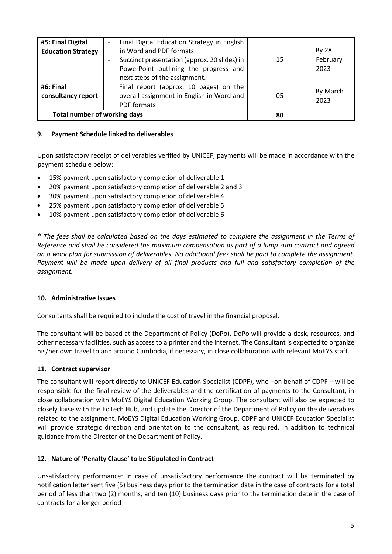| #5: Final Digital                   | Final Digital Education Strategy in English  |    |                  |
|-------------------------------------|----------------------------------------------|----|------------------|
| <b>Education Strategy</b>           | in Word and PDF formats                      |    | By 28            |
|                                     | Succinct presentation (approx. 20 slides) in | 15 | February         |
|                                     | PowerPoint outlining the progress and        |    | 2023             |
|                                     | next steps of the assignment.                |    |                  |
| #6: Final                           | Final report (approx. 10 pages) on the       |    | By March<br>2023 |
| consultancy report                  | overall assignment in English in Word and    | 05 |                  |
|                                     | PDF formats                                  |    |                  |
| <b>Total number of working days</b> |                                              | 80 |                  |

### **9. Payment Schedule linked to deliverables**

Upon satisfactory receipt of deliverables verified by UNICEF, payments will be made in accordance with the payment schedule below:

- 15% payment upon satisfactory completion of deliverable 1
- 20% payment upon satisfactory completion of deliverable 2 and 3
- 30% payment upon satisfactory completion of deliverable 4
- 25% payment upon satisfactory completion of deliverable 5
- 10% payment upon satisfactory completion of deliverable 6

*\* The fees shall be calculated based on the days estimated to complete the assignment in the Terms of Reference and shall be considered the maximum compensation as part of a lump sum contract and agreed on a work plan for submission of deliverables. No additional fees shall be paid to complete the assignment. Payment will be made upon delivery of all final products and full and satisfactory completion of the assignment.*

#### **10. Administrative Issues**

Consultants shall be required to include the cost of travel in the financial proposal.

The consultant will be based at the Department of Policy (DoPo). DoPo will provide a desk, resources, and other necessary facilities, such as access to a printer and the internet. The Consultant is expected to organize his/her own travel to and around Cambodia, if necessary, in close collaboration with relevant MoEYS staff.

#### **11. Contract supervisor**

The consultant will report directly to UNICEF Education Specialist (CDPF), who –on behalf of CDPF – will be responsible for the final review of the deliverables and the certification of payments to the Consultant, in close collaboration with MoEYS Digital Education Working Group. The consultant will also be expected to closely liaise with the EdTech Hub, and update the Director of the Department of Policy on the deliverables related to the assignment. MoEYS Digital Education Working Group, CDPF and UNICEF Education Specialist will provide strategic direction and orientation to the consultant, as required, in addition to technical guidance from the Director of the Department of Policy.

#### **12. Nature of 'Penalty Clause' to be Stipulated in Contract**

Unsatisfactory performance: In case of unsatisfactory performance the contract will be terminated by notification letter sent five (5) business days prior to the termination date in the case of contracts for a total period of less than two (2) months, and ten (10) business days prior to the termination date in the case of contracts for a longer period